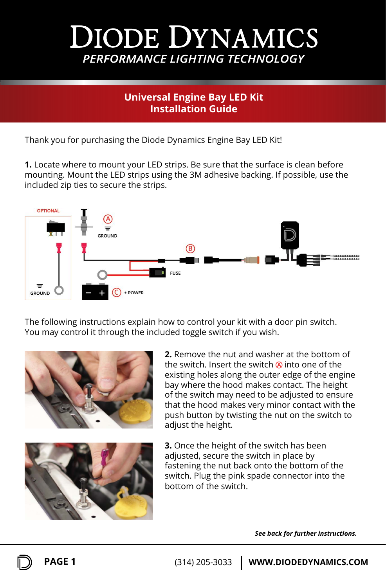# **DIODE DYNAMICS** PERFORMANCE LIGHTING TECHNOLOGY

## **Universal Engine Bay LED Kit Installation Guide**

Thank you for purchasing the Diode Dynamics Engine Bay LED Kit!

**1.** Locate where to mount your LED strips. Be sure that the surface is clean before mounting. Mount the LED strips using the 3M adhesive backing. If possible, use the included zip ties to secure the strips.



The following instructions explain how to control your kit with a door pin switch. You may control it through the included toggle switch if you wish.





**2.** Remove the nut and washer at the bottom of the switch. Insert the switch @ into one of the existing holes along the outer edge of the engine bay where the hood makes contact. The height of the switch may need to be adjusted to ensure that the hood makes very minor contact with the push button by twisting the nut on the switch to adjust the height.

**3.** Once the height of the switch has been adjusted, secure the switch in place by fastening the nut back onto the bottom of the switch. Plug the pink spade connector into the bottom of the switch.

*See back for further instructions.*